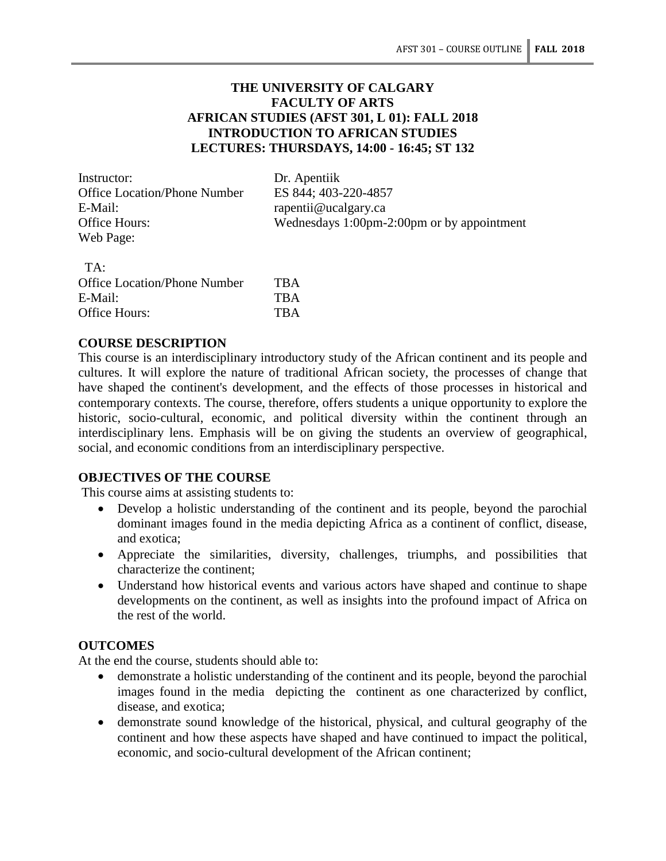## **THE UNIVERSITY OF CALGARY FACULTY OF ARTS AFRICAN STUDIES (AFST 301, L 01): FALL 2018 INTRODUCTION TO AFRICAN STUDIES LECTURES: THURSDAYS, 14:00 - 16:45; ST 132**

Instructor: Dr. Apentiik Office Location/Phone Number ES 844; 403-220-4857 E-Mail: rapentii@ucalgary.ca Web Page:

Office Hours: Wednesdays 1:00pm-2:00pm or by appointment

| TA:                                 |            |
|-------------------------------------|------------|
| <b>Office Location/Phone Number</b> | <b>TBA</b> |
| E-Mail:                             | <b>TBA</b> |
| Office Hours:                       | <b>TRA</b> |

### **COURSE DESCRIPTION**

This course is an interdisciplinary introductory study of the African continent and its people and cultures. It will explore the nature of traditional African society, the processes of change that have shaped the continent's development, and the effects of those processes in historical and contemporary contexts. The course, therefore, offers students a unique opportunity to explore the historic, socio-cultural, economic, and political diversity within the continent through an interdisciplinary lens. Emphasis will be on giving the students an overview of geographical, social, and economic conditions from an interdisciplinary perspective.

#### **OBJECTIVES OF THE COURSE**

This course aims at assisting students to:

- Develop a holistic understanding of the continent and its people, beyond the parochial dominant images found in the media depicting Africa as a continent of conflict, disease, and exotica;
- Appreciate the similarities, diversity, challenges, triumphs, and possibilities that characterize the continent;
- Understand how historical events and various actors have shaped and continue to shape developments on the continent, as well as insights into the profound impact of Africa on the rest of the world.

#### **OUTCOMES**

At the end the course, students should able to:

- demonstrate a holistic understanding of the continent and its people, beyond the parochial images found in the media depicting the continent as one characterized by conflict, disease, and exotica;
- demonstrate sound knowledge of the historical, physical, and cultural geography of the continent and how these aspects have shaped and have continued to impact the political, economic, and socio-cultural development of the African continent;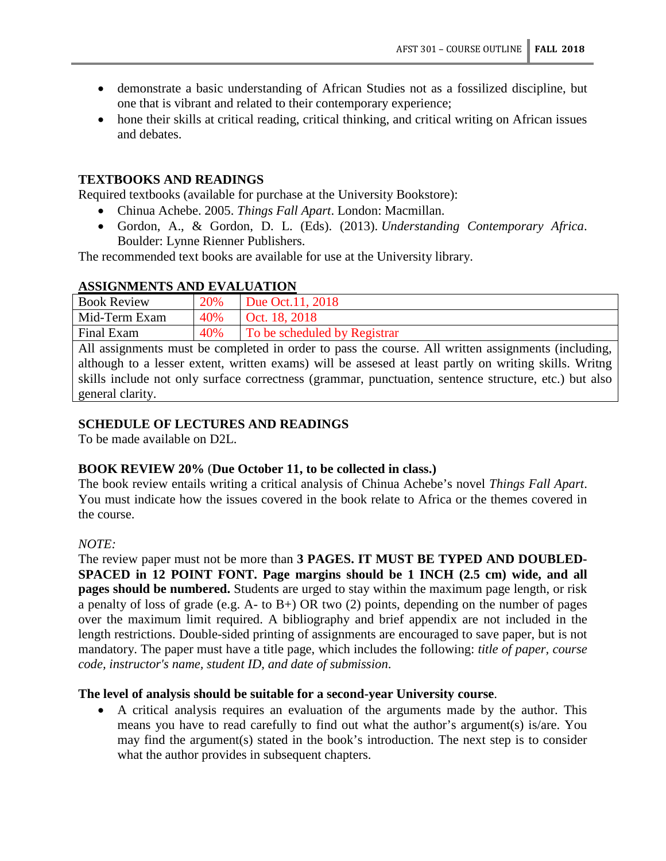- demonstrate a basic understanding of African Studies not as a fossilized discipline, but one that is vibrant and related to their contemporary experience;
- hone their skills at critical reading, critical thinking, and critical writing on African issues and debates.

#### **TEXTBOOKS AND READINGS**

Required textbooks (available for purchase at the University Bookstore):

- Chinua Achebe. 2005. *Things Fall Apart*. London: Macmillan.
- Gordon, A., & Gordon, D. L. (Eds). (2013). *Understanding Contemporary Africa*. Boulder: Lynne Rienner Publishers.

The recommended text books are available for use at the University library.

### **ASSIGNMENTS AND EVALUATION**

| <b>Book Review</b>                                                                                 | 20% | Due Oct. 11, 2018            |  |
|----------------------------------------------------------------------------------------------------|-----|------------------------------|--|
| Mid-Term Exam                                                                                      | 40% | Oct. 18, 2018                |  |
| Final Exam                                                                                         | 40% | To be scheduled by Registrar |  |
| All assignments must be completed in order to pass the course. All written assignments (including, |     |                              |  |
|                                                                                                    |     |                              |  |

although to a lesser extent, written exams) will be assesed at least partly on writing skills. Writng skills include not only surface correctness (grammar, punctuation, sentence structure, etc.) but also general clarity.

### **SCHEDULE OF LECTURES AND READINGS**

To be made available on D2L.

#### **BOOK REVIEW 20%** (**Due October 11, to be collected in class.)**

The book review entails writing a critical analysis of Chinua Achebe's novel *Things Fall Apart*. You must indicate how the issues covered in the book relate to Africa or the themes covered in the course.

#### *NOTE:*

The review paper must not be more than **3 PAGES. IT MUST BE TYPED AND DOUBLED-SPACED in 12 POINT FONT. Page margins should be 1 INCH (2.5 cm) wide, and all pages should be numbered.** Students are urged to stay within the maximum page length, or risk a penalty of loss of grade (e.g. A- to B+) OR two (2) points, depending on the number of pages over the maximum limit required. A bibliography and brief appendix are not included in the length restrictions. Double-sided printing of assignments are encouraged to save paper, but is not mandatory. The paper must have a title page, which includes the following: *title of paper, course code, instructor's name, student ID, and date of submission*.

#### **The level of analysis should be suitable for a second-year University course**.

• A critical analysis requires an evaluation of the arguments made by the author. This means you have to read carefully to find out what the author's argument(s) is/are. You may find the argument(s) stated in the book's introduction. The next step is to consider what the author provides in subsequent chapters.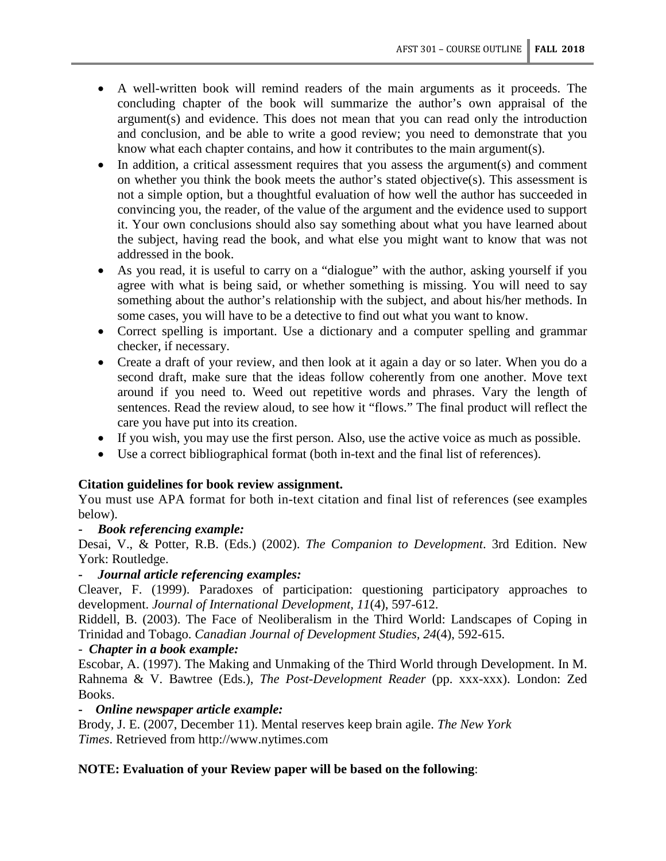- A well-written book will remind readers of the main arguments as it proceeds. The concluding chapter of the book will summarize the author's own appraisal of the argument(s) and evidence. This does not mean that you can read only the introduction and conclusion, and be able to write a good review; you need to demonstrate that you know what each chapter contains, and how it contributes to the main argument(s).
- In addition, a critical assessment requires that you assess the argument(s) and comment on whether you think the book meets the author's stated objective(s). This assessment is not a simple option, but a thoughtful evaluation of how well the author has succeeded in convincing you, the reader, of the value of the argument and the evidence used to support it. Your own conclusions should also say something about what you have learned about the subject, having read the book, and what else you might want to know that was not addressed in the book.
- As you read, it is useful to carry on a "dialogue" with the author, asking yourself if you agree with what is being said, or whether something is missing. You will need to say something about the author's relationship with the subject, and about his/her methods. In some cases, you will have to be a detective to find out what you want to know.
- Correct spelling is important. Use a dictionary and a computer spelling and grammar checker, if necessary.
- Create a draft of your review, and then look at it again a day or so later. When you do a second draft, make sure that the ideas follow coherently from one another. Move text around if you need to. Weed out repetitive words and phrases. Vary the length of sentences. Read the review aloud, to see how it "flows." The final product will reflect the care you have put into its creation.
- If you wish, you may use the first person. Also, use the active voice as much as possible.
- Use a correct bibliographical format (both in-text and the final list of references).

### **Citation guidelines for book review assignment.**

You must use APA format for both in-text citation and final list of references (see examples below).

### **-** *Book referencing example:*

Desai, V., & Potter, R.B. (Eds.) (2002). *The Companion to Development*. 3rd Edition. New York: Routledge.

### **-** *Journal article referencing examples:*

Cleaver, F. (1999). Paradoxes of participation: questioning participatory approaches to development. *Journal of International Development, 11*(4), 597-612.

Riddell, B. (2003). The Face of Neoliberalism in the Third World: Landscapes of Coping in Trinidad and Tobago. *Canadian Journal of Development Studies, 24*(4), 592-615.

### - *Chapter in a book example:*

Escobar, A. (1997). The Making and Unmaking of the Third World through Development. In M. Rahnema & V. Bawtree (Eds.), *The Post-Development Reader* (pp. xxx-xxx). London: Zed Books.

### **-** *Online newspaper article example:*

Brody, J. E. (2007, December 11). Mental reserves keep brain agile. *The New York Times*. Retrieved from http://www.nytimes.com

### **NOTE: Evaluation of your Review paper will be based on the following**: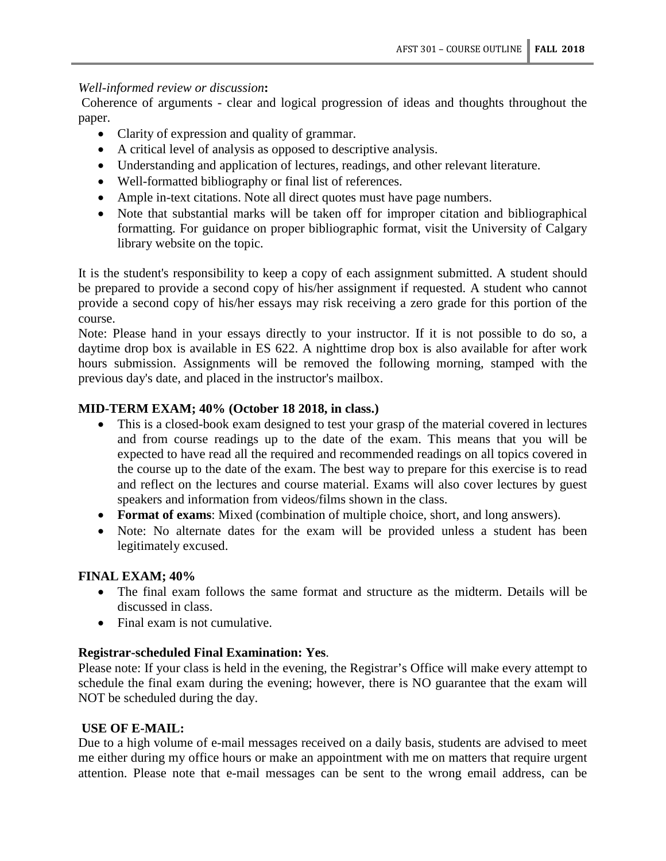## *Well-informed review or discussion***:**

Coherence of arguments - clear and logical progression of ideas and thoughts throughout the paper.

- Clarity of expression and quality of grammar.
- A critical level of analysis as opposed to descriptive analysis.
- Understanding and application of lectures, readings, and other relevant literature.
- Well-formatted bibliography or final list of references.
- Ample in-text citations. Note all direct quotes must have page numbers.
- Note that substantial marks will be taken off for improper citation and bibliographical formatting. For guidance on proper bibliographic format, visit the University of Calgary library website on the topic.

It is the student's responsibility to keep a copy of each assignment submitted. A student should be prepared to provide a second copy of his/her assignment if requested. A student who cannot provide a second copy of his/her essays may risk receiving a zero grade for this portion of the course.

Note: Please hand in your essays directly to your instructor. If it is not possible to do so, a daytime drop box is available in ES 622. A nighttime drop box is also available for after work hours submission. Assignments will be removed the following morning, stamped with the previous day's date, and placed in the instructor's mailbox.

## **MID-TERM EXAM; 40% (October 18 2018, in class.)**

- This is a closed-book exam designed to test your grasp of the material covered in lectures and from course readings up to the date of the exam. This means that you will be expected to have read all the required and recommended readings on all topics covered in the course up to the date of the exam. The best way to prepare for this exercise is to read and reflect on the lectures and course material. Exams will also cover lectures by guest speakers and information from videos/films shown in the class.
- **Format of exams**: Mixed (combination of multiple choice, short, and long answers).
- Note: No alternate dates for the exam will be provided unless a student has been legitimately excused.

### **FINAL EXAM; 40%**

- The final exam follows the same format and structure as the midterm. Details will be discussed in class.
- Final exam is not cumulative.

### **Registrar-scheduled Final Examination: Yes**.

Please note: If your class is held in the evening, the Registrar's Office will make every attempt to schedule the final exam during the evening; however, there is NO guarantee that the exam will NOT be scheduled during the day.

# **USE OF E-MAIL:**

Due to a high volume of e-mail messages received on a daily basis, students are advised to meet me either during my office hours or make an appointment with me on matters that require urgent attention. Please note that e-mail messages can be sent to the wrong email address, can be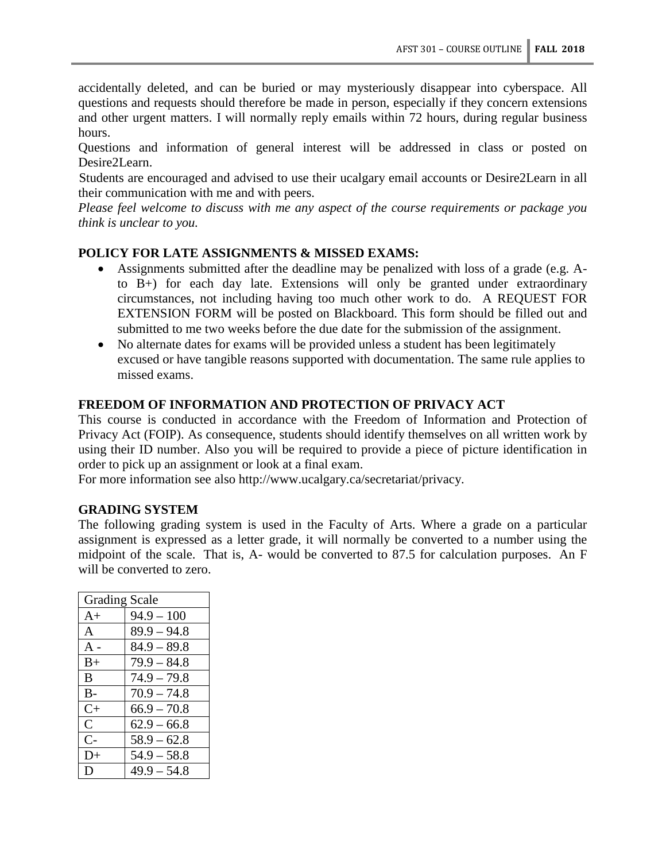accidentally deleted, and can be buried or may mysteriously disappear into cyberspace. All questions and requests should therefore be made in person, especially if they concern extensions and other urgent matters. I will normally reply emails within 72 hours, during regular business hours.

Questions and information of general interest will be addressed in class or posted on Desire2Learn.

Students are encouraged and advised to use their ucalgary email accounts or Desire2Learn in all their communication with me and with peers.

*Please feel welcome to discuss with me any aspect of the course requirements or package you think is unclear to you.*

### **POLICY FOR LATE ASSIGNMENTS & MISSED EXAMS:**

- Assignments submitted after the deadline may be penalized with loss of a grade (e.g. Ato B+) for each day late. Extensions will only be granted under extraordinary circumstances, not including having too much other work to do. A REQUEST FOR EXTENSION FORM will be posted on Blackboard. This form should be filled out and submitted to me two weeks before the due date for the submission of the assignment.
- No alternate dates for exams will be provided unless a student has been legitimately excused or have tangible reasons supported with documentation. The same rule applies to missed exams.

#### **FREEDOM OF INFORMATION AND PROTECTION OF PRIVACY ACT**

This course is conducted in accordance with the Freedom of Information and Protection of Privacy Act (FOIP). As consequence, students should identify themselves on all written work by using their ID number. Also you will be required to provide a piece of picture identification in order to pick up an assignment or look at a final exam.

For more information see also http://www.ucalgary.ca/secretariat/privacy.

## **GRADING SYSTEM**

The following grading system is used in the Faculty of Arts. Where a grade on a particular assignment is expressed as a letter grade, it will normally be converted to a number using the midpoint of the scale. That is, A- would be converted to 87.5 for calculation purposes. An F will be converted to zero.

| <b>Grading Scale</b> |               |  |
|----------------------|---------------|--|
| $A+$                 | $94.9 - 100$  |  |
| A                    | $89.9 - 94.8$ |  |
| $A -$                | $84.9 - 89.8$ |  |
| $B+$                 | $79.9 - 84.8$ |  |
| B                    | $74.9 - 79.8$ |  |
| $B -$                | $70.9 - 74.8$ |  |
| $C_{\pm}$            | $66.9 - 70.8$ |  |
| $\mathsf{C}$         | $62.9 - 66.8$ |  |
| $\mathsf{C}\text{-}$ | $58.9 - 62.8$ |  |
| $D+$                 | $54.9 - 58.8$ |  |
| D                    | $49.9 - 54.8$ |  |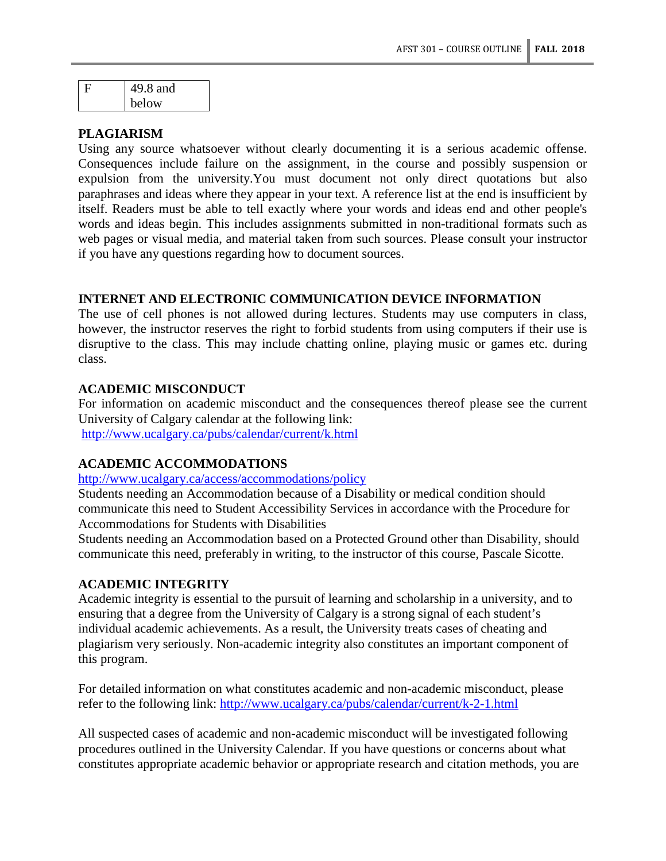| L | 49.8 and |
|---|----------|
|   | below    |

#### **PLAGIARISM**

Using any source whatsoever without clearly documenting it is a serious academic offense. Consequences include failure on the assignment, in the course and possibly suspension or expulsion from the university.You must document not only direct quotations but also paraphrases and ideas where they appear in your text. A reference list at the end is insufficient by itself. Readers must be able to tell exactly where your words and ideas end and other people's words and ideas begin. This includes assignments submitted in non-traditional formats such as web pages or visual media, and material taken from such sources. Please consult your instructor if you have any questions regarding how to document sources.

## **INTERNET AND ELECTRONIC COMMUNICATION DEVICE INFORMATION**

The use of cell phones is not allowed during lectures. Students may use computers in class, however, the instructor reserves the right to forbid students from using computers if their use is disruptive to the class. This may include chatting online, playing music or games etc. during class.

#### **ACADEMIC MISCONDUCT**

For information on academic misconduct and the consequences thereof please see the current University of Calgary calendar at the following link: <http://www.ucalgary.ca/pubs/calendar/current/k.html>

### **ACADEMIC ACCOMMODATIONS**

<http://www.ucalgary.ca/access/accommodations/policy>

Students needing an Accommodation because of a Disability or medical condition should communicate this need to Student Accessibility Services in accordance with the Procedure for Accommodations for Students with Disabilities

Students needing an Accommodation based on a Protected Ground other than Disability, should communicate this need, preferably in writing, to the instructor of this course, Pascale Sicotte.

#### **ACADEMIC INTEGRITY**

Academic integrity is essential to the pursuit of learning and scholarship in a university, and to ensuring that a degree from the University of Calgary is a strong signal of each student's individual academic achievements. As a result, the University treats cases of cheating and plagiarism very seriously. Non-academic integrity also constitutes an important component of this program.

For detailed information on what constitutes academic and non-academic misconduct, please refer to the following link:<http://www.ucalgary.ca/pubs/calendar/current/k-2-1.html>

All suspected cases of academic and non-academic misconduct will be investigated following procedures outlined in the University Calendar. If you have questions or concerns about what constitutes appropriate academic behavior or appropriate research and citation methods, you are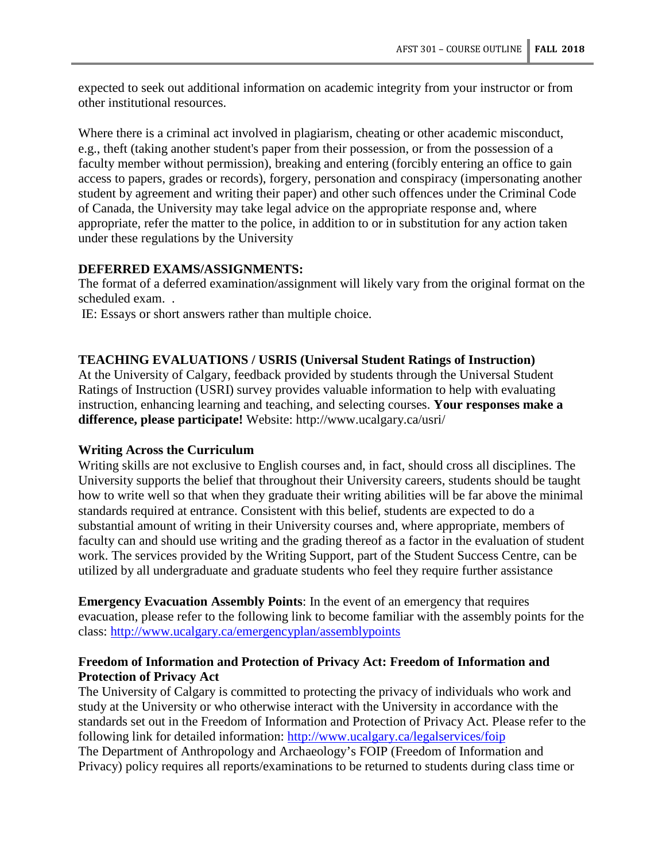expected to seek out additional information on academic integrity from your instructor or from other institutional resources.

Where there is a criminal act involved in plagiarism, cheating or other academic misconduct, e.g., theft (taking another student's paper from their possession, or from the possession of a faculty member without permission), breaking and entering (forcibly entering an office to gain access to papers, grades or records), forgery, personation and conspiracy (impersonating another student by agreement and writing their paper) and other such offences under the Criminal Code of Canada, the University may take legal advice on the appropriate response and, where appropriate, refer the matter to the police, in addition to or in substitution for any action taken under these regulations by the University

#### **DEFERRED EXAMS/ASSIGNMENTS:**

The format of a deferred examination/assignment will likely vary from the original format on the scheduled exam. .

IE: Essays or short answers rather than multiple choice.

#### **TEACHING EVALUATIONS / USRIS (Universal Student Ratings of Instruction)**

At the University of Calgary, feedback provided by students through the Universal Student Ratings of Instruction (USRI) survey provides valuable information to help with evaluating instruction, enhancing learning and teaching, and selecting courses. **Your responses make a difference, please participate!** Website: http://www.ucalgary.ca/usri/

#### **Writing Across the Curriculum**

Writing skills are not exclusive to English courses and, in fact, should cross all disciplines. The University supports the belief that throughout their University careers, students should be taught how to write well so that when they graduate their writing abilities will be far above the minimal standards required at entrance. Consistent with this belief, students are expected to do a substantial amount of writing in their University courses and, where appropriate, members of faculty can and should use writing and the grading thereof as a factor in the evaluation of student work. The services provided by the Writing Support, part of the Student Success Centre, can be utilized by all undergraduate and graduate students who feel they require further assistance

**Emergency Evacuation Assembly Points**: In the event of an emergency that requires evacuation, please refer to the following link to become familiar with the assembly points for the class:<http://www.ucalgary.ca/emergencyplan/assemblypoints>

#### **Freedom of Information and Protection of Privacy Act: Freedom of Information and Protection of Privacy Act**

The University of Calgary is committed to protecting the privacy of individuals who work and study at the University or who otherwise interact with the University in accordance with the standards set out in the Freedom of Information and Protection of Privacy Act. Please refer to the following link for detailed information:<http://www.ucalgary.ca/legalservices/foip> The Department of Anthropology and Archaeology's FOIP (Freedom of Information and Privacy) policy requires all reports/examinations to be returned to students during class time or